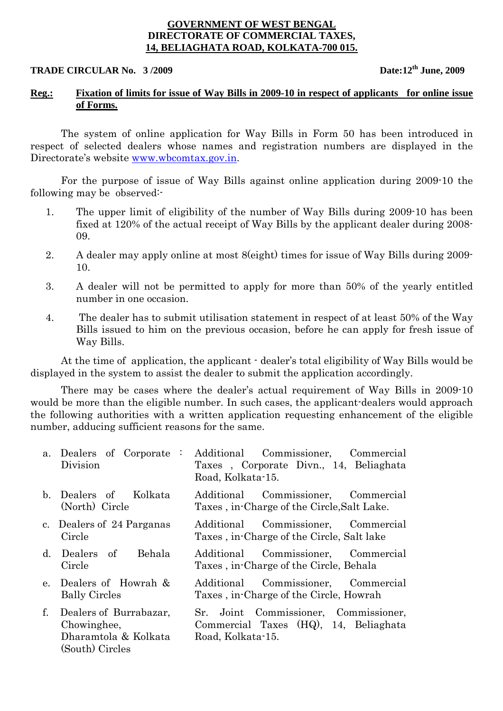## **GOVERNMENT OF WEST BENGAL DIRECTORATE OF COMMERCIAL TAXES, 14, BELIAGHATA ROAD, KOLKATA-700 015.**

# **TRADE CIRCULAR No.** 3/2009 **Date:12<sup>th</sup> June, 2009**

## **Reg.: Fixation of limits for issue of Way Bills in 2009-10 in respect of applicants for online issue of Forms.**

The system of online application for Way Bills in Form 50 has been introduced in respect of selected dealers whose names and registration numbers are displayed in the Directorate's website www.wbcomtax.gov.in.

For the purpose of issue of Way Bills against online application during 2009-10 the following may be observed:-

- 1. The upper limit of eligibility of the number of Way Bills during 2009-10 has been fixed at 120% of the actual receipt of Way Bills by the applicant dealer during 2008- 09.
- 2. A dealer may apply online at most 8(eight) times for issue of Way Bills during 2009- 10.
- 3. A dealer will not be permitted to apply for more than 50% of the yearly entitled number in one occasion.
- 4. The dealer has to submit utilisation statement in respect of at least 50% of the Way Bills issued to him on the previous occasion, before he can apply for fresh issue of Way Bills.

At the time of application, the applicant - dealer's total eligibility of Way Bills would be displayed in the system to assist the dealer to submit the application accordingly.

There may be cases where the dealer's actual requirement of Way Bills in 2009-10 would be more than the eligible number. In such cases, the applicant-dealers would approach the following authorities with a written application requesting enhancement of the eligible number, adducing sufficient reasons for the same.

| a. Dealers of Corporate :<br>Division                                               | Additional Commissioner, Commercial<br>Taxes, Corporate Divn., 14, Beliaghata<br>Road, Kolkata-15.     |
|-------------------------------------------------------------------------------------|--------------------------------------------------------------------------------------------------------|
| b. Dealers of Kolkata<br>(North) Circle                                             | Additional Commissioner, Commercial<br>Taxes, in-Charge of the Circle, Salt Lake.                      |
| c. Dealers of 24 Parganas<br>Circle                                                 | Additional Commissioner, Commercial<br>Taxes, in-Charge of the Circle, Salt lake                       |
| d. Dealers of Behala<br>Circle                                                      | Additional Commissioner, Commercial<br>Taxes, in-Charge of the Circle, Behala                          |
| e. Dealers of Howrah &<br><b>Bally Circles</b>                                      | Additional Commissioner, Commercial<br>Taxes, in-Charge of the Circle, Howrah                          |
| f. Dealers of Burrabazar,<br>Chowinghee,<br>Dharamtola & Kolkata<br>(South) Circles | Joint Commissioner, Commissioner,<br>Sr.<br>Commercial Taxes (HQ), 14, Beliaghata<br>Road, Kolkata-15. |